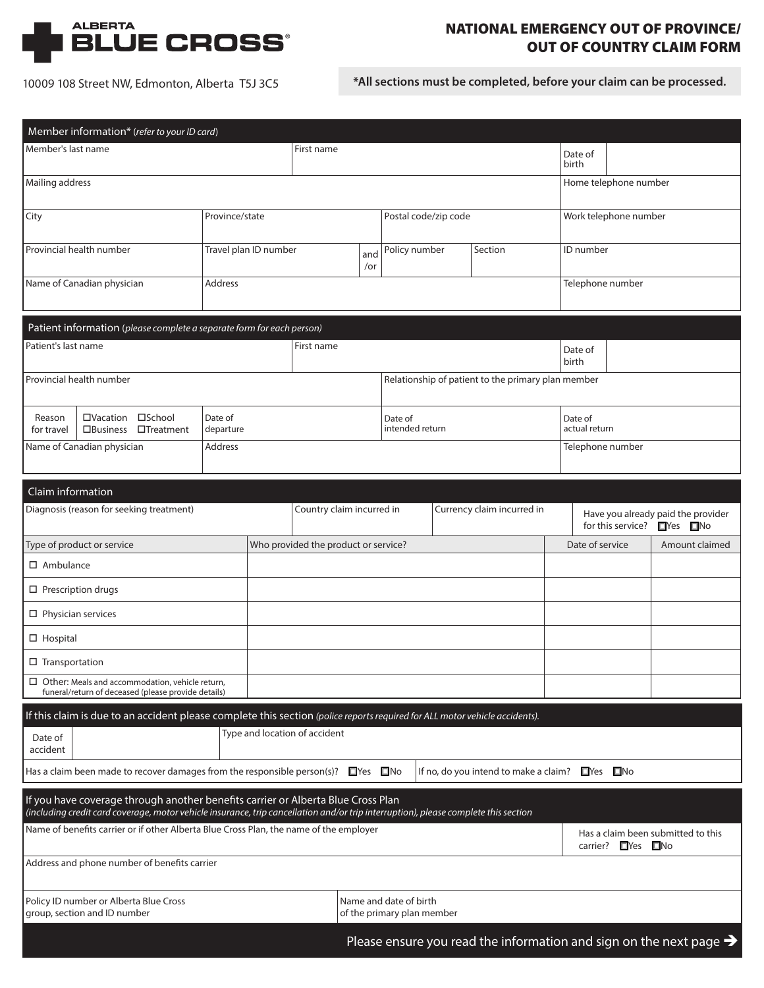

# NATIONAL EMERGENCY OUT OF PROVINCE/ OUT OF COUNTRY CLAIM FORM

10009 108 Street NW, Edmonton, Alberta T5J 3C5 **\*All sections must be completed, before your claim can be processed.**

| Member information* (refer to your ID card)                                                                                                                                                                             |                            |                                                                                                               |                      |                                                      |                                      |                                              |                            |  |                                                                                                                             |                                    |                          |                                                                                |
|-------------------------------------------------------------------------------------------------------------------------------------------------------------------------------------------------------------------------|----------------------------|---------------------------------------------------------------------------------------------------------------|----------------------|------------------------------------------------------|--------------------------------------|----------------------------------------------|----------------------------|--|-----------------------------------------------------------------------------------------------------------------------------|------------------------------------|--------------------------|--------------------------------------------------------------------------------|
| Member's last name                                                                                                                                                                                                      |                            |                                                                                                               | First name           |                                                      |                                      |                                              | Date of<br>birth           |  |                                                                                                                             |                                    |                          |                                                                                |
| Mailing address                                                                                                                                                                                                         |                            |                                                                                                               |                      |                                                      |                                      |                                              |                            |  |                                                                                                                             | Home telephone number              |                          |                                                                                |
| City                                                                                                                                                                                                                    |                            |                                                                                                               | Province/state       |                                                      |                                      |                                              | Postal code/zip code       |  |                                                                                                                             |                                    | Work telephone number    |                                                                                |
|                                                                                                                                                                                                                         | Provincial health number   |                                                                                                               |                      | Travel plan ID number                                |                                      | and<br>/or                                   | Policy number              |  | Section                                                                                                                     |                                    | ID number                |                                                                                |
|                                                                                                                                                                                                                         | Name of Canadian physician |                                                                                                               | Address              |                                                      |                                      |                                              |                            |  |                                                                                                                             |                                    | Telephone number         |                                                                                |
|                                                                                                                                                                                                                         |                            | Patient information (please complete a separate form for each person)                                         |                      |                                                      |                                      |                                              |                            |  |                                                                                                                             |                                    |                          |                                                                                |
| Patient's last name                                                                                                                                                                                                     |                            |                                                                                                               |                      |                                                      | First name                           |                                              |                            |  |                                                                                                                             | Date of<br>birth                   |                          |                                                                                |
|                                                                                                                                                                                                                         | Provincial health number   |                                                                                                               |                      |                                                      |                                      |                                              |                            |  | Relationship of patient to the primary plan member                                                                          |                                    |                          |                                                                                |
| Reason<br>for travel                                                                                                                                                                                                    | □Vacation □School          | □Business □Treatment                                                                                          | Date of<br>departure |                                                      |                                      |                                              | Date of<br>intended return |  |                                                                                                                             |                                    | Date of<br>actual return |                                                                                |
|                                                                                                                                                                                                                         | Name of Canadian physician |                                                                                                               | Address              |                                                      |                                      |                                              |                            |  |                                                                                                                             |                                    | Telephone number         |                                                                                |
| Claim information                                                                                                                                                                                                       |                            |                                                                                                               |                      |                                                      |                                      |                                              |                            |  |                                                                                                                             |                                    |                          |                                                                                |
|                                                                                                                                                                                                                         |                            | Diagnosis (reason for seeking treatment)                                                                      |                      |                                                      | Country claim incurred in            |                                              |                            |  | Currency claim incurred in                                                                                                  |                                    |                          | Have you already paid the provider<br>for this service? ■Yes ■No               |
|                                                                                                                                                                                                                         | Type of product or service |                                                                                                               |                      |                                                      | Who provided the product or service? |                                              |                            |  | Date of service                                                                                                             | Amount claimed                     |                          |                                                                                |
| $\Box$ Ambulance                                                                                                                                                                                                        |                            |                                                                                                               |                      |                                                      |                                      |                                              |                            |  |                                                                                                                             |                                    |                          |                                                                                |
| $\Box$ Prescription drugs                                                                                                                                                                                               |                            |                                                                                                               |                      |                                                      |                                      |                                              |                            |  |                                                                                                                             |                                    |                          |                                                                                |
| $\square$ Physician services                                                                                                                                                                                            |                            |                                                                                                               |                      |                                                      |                                      |                                              |                            |  |                                                                                                                             |                                    |                          |                                                                                |
| $\Box$ Hospital                                                                                                                                                                                                         |                            |                                                                                                               |                      |                                                      |                                      |                                              |                            |  |                                                                                                                             |                                    |                          |                                                                                |
| $\square$ Transportation                                                                                                                                                                                                |                            |                                                                                                               |                      |                                                      |                                      |                                              |                            |  |                                                                                                                             |                                    |                          |                                                                                |
|                                                                                                                                                                                                                         |                            | $\Box$ Other: Meals and accommodation, vehicle return,<br>funeral/return of deceased (please provide details) |                      |                                                      |                                      |                                              |                            |  |                                                                                                                             |                                    |                          |                                                                                |
|                                                                                                                                                                                                                         |                            |                                                                                                               |                      |                                                      |                                      |                                              |                            |  | If this claim is due to an accident please complete this section (police reports required for ALL motor vehicle accidents). |                                    |                          |                                                                                |
| Date of<br>accident                                                                                                                                                                                                     |                            |                                                                                                               |                      |                                                      | Type and location of accident        |                                              |                            |  |                                                                                                                             |                                    |                          |                                                                                |
| Has a claim been made to recover damages from the responsible person(s)? $\Box$ Yes $\Box$ No                                                                                                                           |                            |                                                                                                               |                      |                                                      |                                      | If no, do you intend to make a claim? Nes No |                            |  |                                                                                                                             |                                    |                          |                                                                                |
| If you have coverage through another benefits carrier or Alberta Blue Cross Plan<br>(including credit card coverage, motor vehicle insurance, trip cancellation and/or trip interruption), please complete this section |                            |                                                                                                               |                      |                                                      |                                      |                                              |                            |  |                                                                                                                             |                                    |                          |                                                                                |
| Name of benefits carrier or if other Alberta Blue Cross Plan, the name of the employer                                                                                                                                  |                            |                                                                                                               |                      |                                                      |                                      |                                              |                            |  | carrier? ■ Yes ■ No                                                                                                         | Has a claim been submitted to this |                          |                                                                                |
| Address and phone number of benefits carrier                                                                                                                                                                            |                            |                                                                                                               |                      |                                                      |                                      |                                              |                            |  |                                                                                                                             |                                    |                          |                                                                                |
| Policy ID number or Alberta Blue Cross<br>group, section and ID number                                                                                                                                                  |                            |                                                                                                               |                      | Name and date of birth<br>of the primary plan member |                                      |                                              |                            |  |                                                                                                                             |                                    |                          |                                                                                |
|                                                                                                                                                                                                                         |                            |                                                                                                               |                      |                                                      |                                      |                                              |                            |  |                                                                                                                             |                                    |                          | Please ensure you read the information and sign on the next page $\rightarrow$ |
|                                                                                                                                                                                                                         |                            |                                                                                                               |                      |                                                      |                                      |                                              |                            |  |                                                                                                                             |                                    |                          |                                                                                |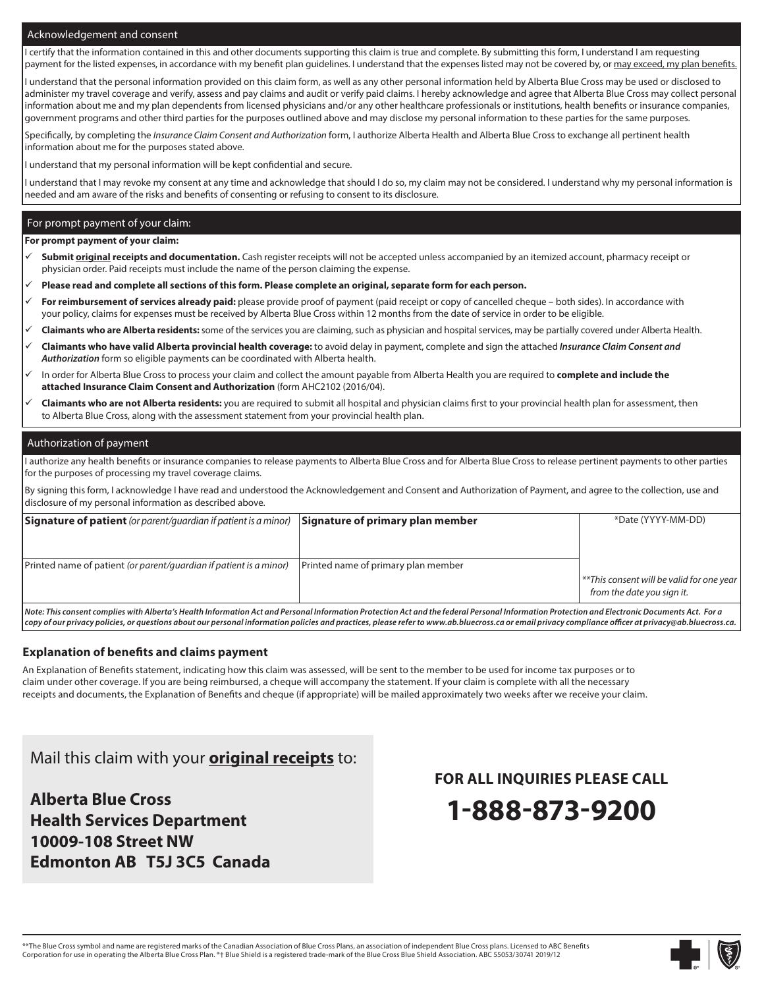#### Acknowledgement and consent

I certify that the information contained in this and other documents supporting this claim is true and complete. By submitting this form, I understand I am requesting payment for the listed expenses, in accordance with my benefit plan guidelines. I understand that the expenses listed may not be covered by, or may exceed, my plan benefits.

I understand that the personal information provided on this claim form, as well as any other personal information held by Alberta Blue Cross may be used or disclosed to administer my travel coverage and verify, assess and pay claims and audit or verify paid claims. I hereby acknowledge and agree that Alberta Blue Cross may collect personal information about me and my plan dependents from licensed physicians and/or any other healthcare professionals or institutions, health benefits or insurance companies, government programs and other third parties for the purposes outlined above and may disclose my personal information to these parties for the same purposes.

Specifically, by completing the *Insurance Claim Consent and Authorization* form, I authorize Alberta Health and Alberta Blue Cross to exchange all pertinent health information about me for the purposes stated above.

I understand that my personal information will be kept confidential and secure.

I understand that I may revoke my consent at any time and acknowledge that should I do so, my claim may not be considered. I understand why my personal information is needed and am aware of the risks and benefits of consenting or refusing to consent to its disclosure.

#### For prompt payment of your claim:

**For prompt payment of your claim:** 

- **Submit original receipts and documentation.** Cash register receipts will not be accepted unless accompanied by an itemized account, pharmacy receipt or physician order. Paid receipts must include the name of the person claiming the expense.
- **Please read and complete all sections of this form. Please complete an original, separate form for each person.**
- **For reimbursement of services already paid:** please provide proof of payment (paid receipt or copy of cancelled cheque both sides). In accordance with your policy, claims for expenses must be received by Alberta Blue Cross within 12 months from the date of service in order to be eligible.
- **Claimants who are Alberta residents:** some of the services you are claiming, such as physician and hospital services, may be partially covered under Alberta Health.
- **Claimants who have valid Alberta provincial health coverage:** to avoid delay in payment, complete and sign the attached *Insurance Claim Consent and Authorization* form so eligible payments can be coordinated with Alberta health.
- In order for Alberta Blue Cross to process your claim and collect the amount payable from Alberta Health you are required to **complete and include the attached Insurance Claim Consent and Authorization** (form AHC2102 (2016/04).
- **Claimants who are not Alberta residents:** you are required to submit all hospital and physician claims first to your provincial health plan for assessment, then to Alberta Blue Cross, along with the assessment statement from your provincial health plan.

#### Authorization of payment

I authorize any health benefits or insurance companies to release payments to Alberta Blue Cross and for Alberta Blue Cross to release pertinent payments to other parties for the purposes of processing my travel coverage claims.

By signing this form, I acknowledge I have read and understood the Acknowledgement and Consent and Authorization of Payment, and agree to the collection, use and disclosure of my personal information as described above.

| <b>Signature of patient</b> (or parent/guardian if patient is a minor)                                                                                                                            | Signature of primary plan member    | *Date (YYYY-MM-DD)                                    |  |  |  |
|---------------------------------------------------------------------------------------------------------------------------------------------------------------------------------------------------|-------------------------------------|-------------------------------------------------------|--|--|--|
|                                                                                                                                                                                                   |                                     |                                                       |  |  |  |
|                                                                                                                                                                                                   |                                     |                                                       |  |  |  |
| Printed name of patient (or parent/quardian if patient is a minor)                                                                                                                                | Printed name of primary plan member |                                                       |  |  |  |
|                                                                                                                                                                                                   |                                     | <sup>**</sup> This consent will be valid for one year |  |  |  |
|                                                                                                                                                                                                   |                                     | from the date you sign it.                            |  |  |  |
| <u>I Nato Thic cancant camplice with Alboute's Uaelth Information Act and Doveanal Information Dustation Act and the federal Doveanal Information Dustation and Electronic December 6 of East</u> |                                     |                                                       |  |  |  |

*Note: This consent complies with Alberta's Health Information Act and Personal Information Protection Act and the federal Personal Information Protection and Electronic Documents Act. For a copy of our privacy policies, or questions about our personal information policies and practices, please refer to www.ab.bluecross.ca or email privacy compliance officer at privacy@ab.bluecross.ca.*

#### **Explanation of benefits and claims payment**

An Explanation of Benefits statement, indicating how this claim was assessed, will be sent to the member to be used for income tax purposes or to claim under other coverage. If you are being reimbursed, a cheque will accompany the statement. If your claim is complete with all the necessary receipts and documents, the Explanation of Benefits and cheque (if appropriate) will be mailed approximately two weeks after we receive your claim.

# Mail this claim with your **original receipts** to:

**Alberta Blue Cross Health Services Department 10009-108 Street NW Edmonton AB T5J 3C5 Canada** **FOR ALL INQUIRIES PLEASE CALL** 



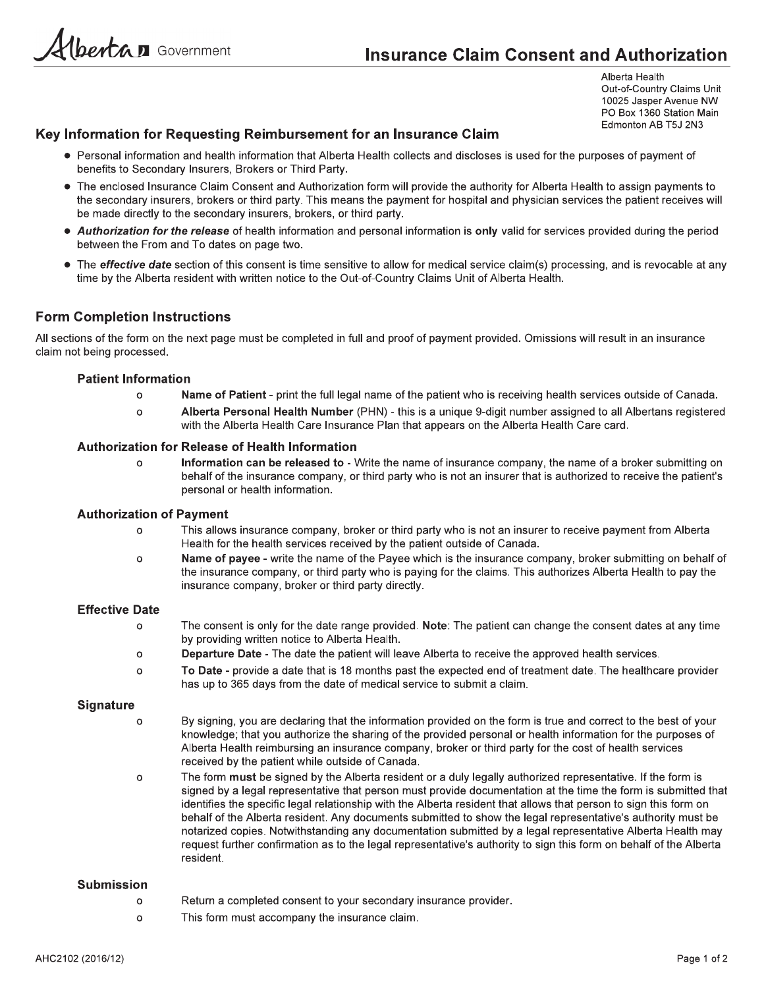bertan Government

Alberta Health Out-of-Country Claims Unit 10025 Jasper Avenue NW PO Box 1360 Station Main Edmonton AB T5J 2N3

# Key Information for Requesting Reimbursement for an Insurance Claim

- Personal information and health information that Alberta Health collects and discloses is used for the purposes of payment of benefits to Secondary Insurers, Brokers or Third Party.
- The enclosed Insurance Claim Consent and Authorization form will provide the authority for Alberta Health to assign payments to the secondary insurers, brokers or third party. This means the payment for hospital and physician services the patient receives will be made directly to the secondary insurers, brokers, or third party.
- Authorization for the release of health information and personal information is only valid for services provided during the period between the From and To dates on page two.
- The effective date section of this consent is time sensitive to allow for medical service claim(s) processing, and is revocable at any time by the Alberta resident with written notice to the Out-of-Country Claims Unit of Alberta Health.

# **Form Completion Instructions**

All sections of the form on the next page must be completed in full and proof of payment provided. Omissions will result in an insurance claim not being processed.

#### **Patient Information**

- Name of Patient print the full legal name of the patient who is receiving health services outside of Canada.  $\Omega$
- Alberta Personal Health Number (PHN) this is a unique 9-digit number assigned to all Albertans registered  $\Omega$ with the Alberta Health Care Insurance Plan that appears on the Alberta Health Care card.

#### **Authorization for Release of Health Information**

Information can be released to - Write the name of insurance company, the name of a broker submitting on  $\Omega$ behalf of the insurance company, or third party who is not an insurer that is authorized to receive the patient's personal or health information.

#### **Authorization of Payment**

- This allows insurance company, broker or third party who is not an insurer to receive payment from Alberta  $\Omega$ Health for the health services received by the patient outside of Canada.
- Name of payee write the name of the Payee which is the insurance company, broker submitting on behalf of  $\Omega$ the insurance company, or third party who is paying for the claims. This authorizes Alberta Health to pay the insurance company, broker or third party directly.

#### **Effective Date**

- $\Omega$ The consent is only for the date range provided. Note: The patient can change the consent dates at any time by providing written notice to Alberta Health.
- Departure Date The date the patient will leave Alberta to receive the approved health services.  $\circ$
- To Date provide a date that is 18 months past the expected end of treatment date. The healthcare provider  $\Omega$ has up to 365 days from the date of medical service to submit a claim.

#### **Signature**

- By signing, you are declaring that the information provided on the form is true and correct to the best of your  $\Omega$ knowledge; that you authorize the sharing of the provided personal or health information for the purposes of Alberta Health reimbursing an insurance company, broker or third party for the cost of health services received by the patient while outside of Canada.
- The form must be signed by the Alberta resident or a duly legally authorized representative. If the form is  $\circ$ signed by a legal representative that person must provide documentation at the time the form is submitted that identifies the specific legal relationship with the Alberta resident that allows that person to sign this form on behalf of the Alberta resident. Any documents submitted to show the legal representative's authority must be notarized copies. Notwithstanding any documentation submitted by a legal representative Alberta Health may request further confirmation as to the legal representative's authority to sign this form on behalf of the Alberta resident.

#### **Submission**

- Return a completed consent to your secondary insurance provider.  $\circ$
- $\circ$ This form must accompany the insurance claim.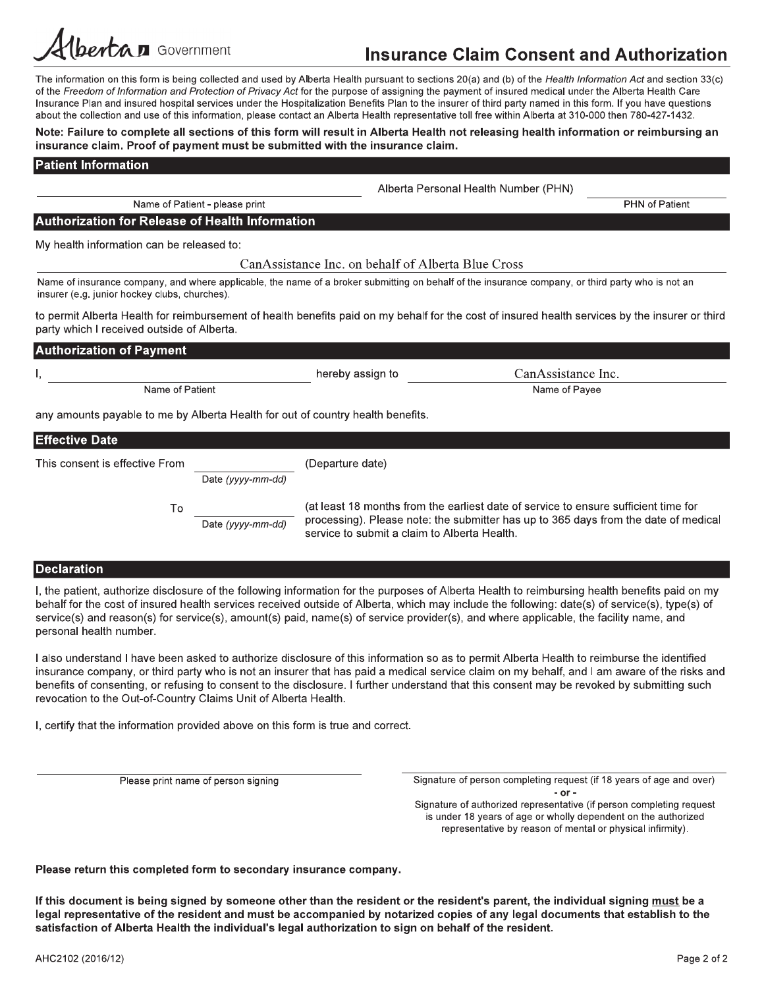# **Insurance Claim Consent and Authorization**

The information on this form is being collected and used by Alberta Health pursuant to sections 20(a) and (b) of the Health Information Act and section 33(c) of the Freedom of Information and Protection of Privacy Act for the purpose of assigning the payment of insured medical under the Alberta Health Care Insurance Plan and insured hospital services under the Hospitalization Benefits Plan to the insurer of third party named in this form. If you have questions about the collection and use of this information, please contact an Alberta Health representative toll free within Alberta at 310-000 then 780-427-1432.

#### Note: Failure to complete all sections of this form will result in Alberta Health not releasing health information or reimbursing an insurance claim. Proof of payment must be submitted with the insurance claim.

#### **Patient Information**

| Alberta Personal Health Number (PHN) |  |  |
|--------------------------------------|--|--|
|                                      |  |  |

**PHN** of Patient

**Authorization for Release of Health Information** 

Name of Patient - please print

My health information can be released to:

CanAssistance Inc. on behalf of Alberta Blue Cross

Name of insurance company, and where applicable, the name of a broker submitting on behalf of the insurance company, or third party who is not an insurer (e.g. junior hockey clubs, churches).

to permit Alberta Health for reimbursement of health benefits paid on my behalf for the cost of insured health services by the insurer or third party which I received outside of Alberta.

| <b>Authorization of Payment</b>                                                      |                  |                    |  |  |  |  |
|--------------------------------------------------------------------------------------|------------------|--------------------|--|--|--|--|
|                                                                                      | hereby assign to | CanAssistance Inc. |  |  |  |  |
| Name of Patient                                                                      |                  | Name of Payee      |  |  |  |  |
| any amounts payable to me by Alberta Health for out of country health benefits.<br>. |                  |                    |  |  |  |  |

| ILIIECUVE DALE                 |                   |                                                                                                                                                                                                                            |
|--------------------------------|-------------------|----------------------------------------------------------------------------------------------------------------------------------------------------------------------------------------------------------------------------|
| This consent is effective From |                   | (Departure date)                                                                                                                                                                                                           |
|                                | Date (yyyy-mm-dd) |                                                                                                                                                                                                                            |
| Τo                             | Date (yyyy-mm-dd) | (at least 18 months from the earliest date of service to ensure sufficient time for<br>processing). Please note: the submitter has up to 365 days from the date of medical<br>service to submit a claim to Alberta Health. |

### **Declaration**

I, the patient, authorize disclosure of the following information for the purposes of Alberta Health to reimbursing health benefits paid on my behalf for the cost of insured health services received outside of Alberta, which may include the following: date(s) of service(s), type(s) of service(s) and reason(s) for service(s), amount(s) paid, name(s) of service provider(s), and where applicable, the facility name, and personal health number.

I also understand I have been asked to authorize disclosure of this information so as to permit Alberta Health to reimburse the identified insurance company, or third party who is not an insurer that has paid a medical service claim on my behalf, and I am aware of the risks and benefits of consenting, or refusing to consent to the disclosure. I further understand that this consent may be revoked by submitting such revocation to the Out-of-Country Claims Unit of Alberta Health.

I, certify that the information provided above on this form is true and correct.

Please print name of person signing

Signature of person completing request (if 18 years of age and over)  $-$  or  $-$ Signature of authorized representative (if person completing request

is under 18 years of age or wholly dependent on the authorized representative by reason of mental or physical infirmity).

Please return this completed form to secondary insurance company.

If this document is being signed by someone other than the resident or the resident's parent, the individual signing must be a legal representative of the resident and must be accompanied by notarized copies of any legal documents that establish to the satisfaction of Alberta Health the individual's legal authorization to sign on behalf of the resident.